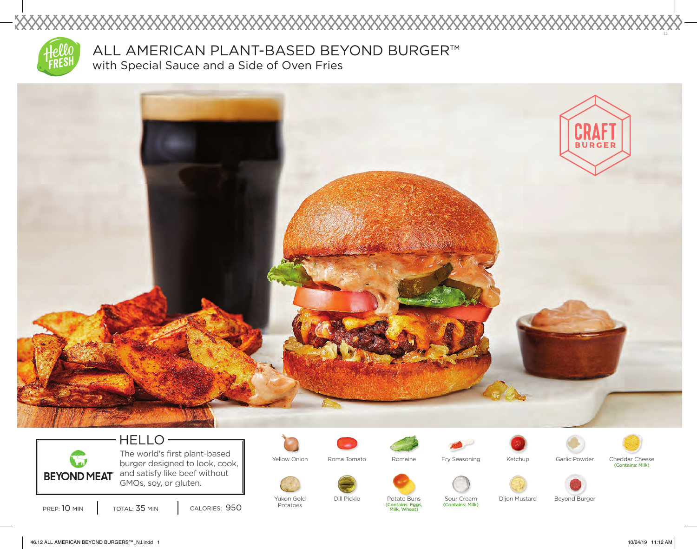

XXXXX

ALL AMERICAN PLANT-BASED BEYOND BURGER™ with Special Sauce and a Side of Oven Fries



## HELLO The world's first plant-based

**Sept** burger designed to look, cook, and satisfy like beef without **BEYOND MEAT** GMOs, soy, or gluten.

PREP: 10 MIN | TOTAL: 35 MIN | CALORIES: 950





Yellow Onion Roma Tomato Romaine Fry Seasoning Ketchup Garlic Powder Cheddar Cheese

(Contains: Milk)

Yukon Gold Potatoes



Dill Pickle Potato Buns Sour Cream Dijon Mustard Beyond Burger<br>
Contains: Eggs, 
(Contains: Milk) (Contains: Eggs, (Contains: Milk) Milk, Wheat)

46.12 ALL AMERICAN BEYOND BURGERS™\_NJ.indd 1 10/24/19 11:12 AM

12